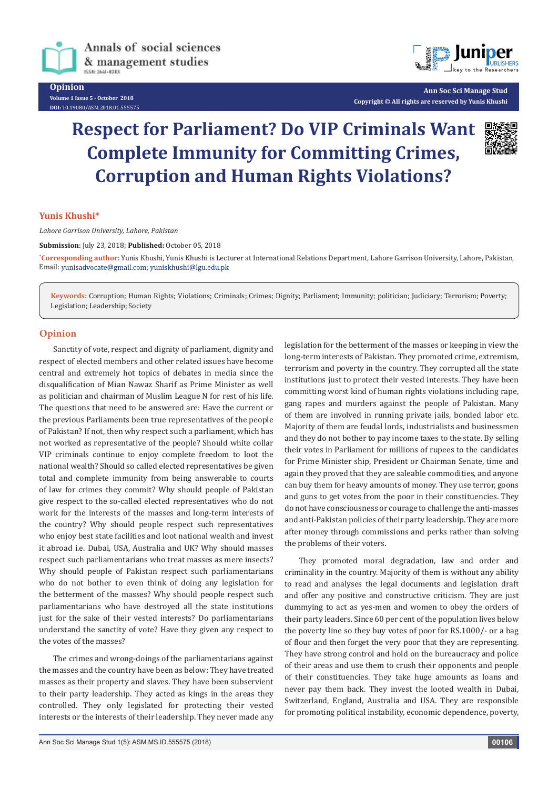

Annals of social sciences & management studies ISSN: 2641-8383

**Opinion Volume 1 Issue 5 - October 2018 DOI:** [10.19080/ASM.2018.01.555575](http://dx.doi.org/10.19080/ASM.2018.01.555575
)



**Ann Soc Sci Manage Stud Copyright © All rights are reserved by Yunis Khushi**

## **Respect for Parliament? Do VIP Criminals Want Complete Immunity for Committing Crimes, Corruption and Human Rights Violations?**



## **Yunis Khushi\***

*Lahore Garrison University, Lahore, Pakistan*

**Submission**: July 23, 2018; **Published:** October 05, 2018

**\* Corresponding author:** Yunis Khushi, Yunis Khushi is Lecturer at International Relations Department, Lahore Garrison University, Lahore, Pakistan, Email: yunisadvocate@gmail.com; yuniskhushi@lgu.edu.pk

**Keywords:** Corruption; Human Rights; Violations; Criminals; Crimes; Dignity; Parliament; Immunity; politician; Judiciary; Terrorism; Poverty; Legislation; Leadership; Society

## **Opinion**

Sanctity of vote, respect and dignity of parliament, dignity and respect of elected members and other related issues have become central and extremely hot topics of debates in media since the disqualification of Mian Nawaz Sharif as Prime Minister as well as politician and chairman of Muslim League N for rest of his life. The questions that need to be answered are: Have the current or the previous Parliaments been true representatives of the people of Pakistan? If not, then why respect such a parliament, which has not worked as representative of the people? Should white collar VIP criminals continue to enjoy complete freedom to loot the national wealth? Should so called elected representatives be given total and complete immunity from being answerable to courts of law for crimes they commit? Why should people of Pakistan give respect to the so-called elected representatives who do not work for the interests of the masses and long-term interests of the country? Why should people respect such representatives who enjoy best state facilities and loot national wealth and invest it abroad i.e. Dubai, USA, Australia and UK? Why should masses respect such parliamentarians who treat masses as mere insects? Why should people of Pakistan respect such parliamentarians who do not bother to even think of doing any legislation for the betterment of the masses? Why should people respect such parliamentarians who have destroyed all the state institutions just for the sake of their vested interests? Do parliamentarians understand the sanctity of vote? Have they given any respect to the votes of the masses?

The crimes and wrong-doings of the parliamentarians against the masses and the country have been as below: They have treated masses as their property and slaves. They have been subservient to their party leadership. They acted as kings in the areas they controlled. They only legislated for protecting their vested interests or the interests of their leadership. They never made any

legislation for the betterment of the masses or keeping in view the long-term interests of Pakistan. They promoted crime, extremism, terrorism and poverty in the country. They corrupted all the state institutions just to protect their vested interests. They have been committing worst kind of human rights violations including rape, gang rapes and murders against the people of Pakistan. Many of them are involved in running private jails, bonded labor etc. Majority of them are feudal lords, industrialists and businessmen and they do not bother to pay income taxes to the state. By selling their votes in Parliament for millions of rupees to the candidates for Prime Minister ship, President or Chairman Senate, time and again they proved that they are saleable commodities, and anyone can buy them for heavy amounts of money. They use terror, goons and guns to get votes from the poor in their constituencies. They do not have consciousness or courage to challenge the anti-masses and anti-Pakistan policies of their party leadership. They are more after money through commissions and perks rather than solving the problems of their voters.

They promoted moral degradation, law and order and criminality in the country. Majority of them is without any ability to read and analyses the legal documents and legislation draft and offer any positive and constructive criticism. They are just dummying to act as yes-men and women to obey the orders of their party leaders. Since 60 per cent of the population lives below the poverty line so they buy votes of poor for RS.1000/- or a bag of flour and then forget the very poor that they are representing. They have strong control and hold on the bureaucracy and police of their areas and use them to crush their opponents and people of their constituencies. They take huge amounts as loans and never pay them back. They invest the looted wealth in Dubai, Switzerland, England, Australia and USA. They are responsible for promoting political instability, economic dependence, poverty,